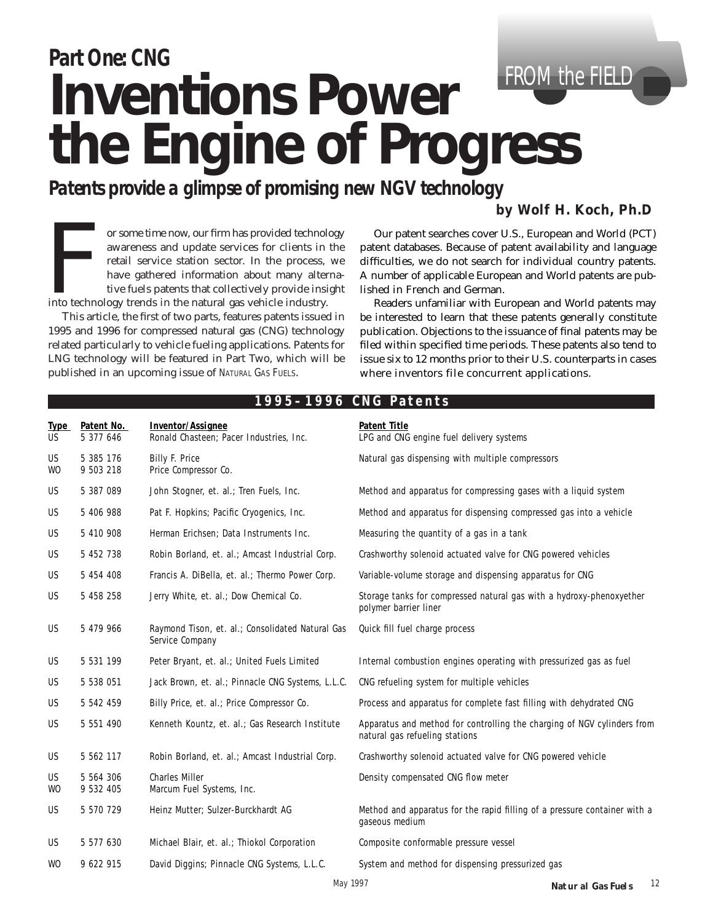# *Part One: CNG* **Inventions Power the Engine of Progress** FROM the FIELD

*Patents provide a glimpse of promising new NGV technology*

# *by Wolf H. Koch, Ph.D*

For some time now, our firm has provided technology<br>awareness and update services for clients in the<br>retail service station sector. In the process, we<br>have gathered information about many alterna-<br>tive fuels patents that c awareness and update services for clients in the retail service station sector. In the process, we have gathered information about many alternative fuels patents that collectively provide insight

This article, the first of two parts, features patents issued in 1995 and 1996 for compressed natural gas (CNG) technology related particularly to vehicle fueling applications. Patents for LNG technology will be featured in Part Two, which will be published in an upcoming issue of NATURAL GAS FUELS.

Our patent searches cover U.S., European and World (PCT) patent databases. Because of patent availability and language difficulties, we do not search for individual country patents. A number of applicable European and World patents are published in French and German.

Readers unfamiliar with European and World patents may be interested to learn that these patents generally constitute publication. Objections to the issuance of final patents may be filed within specified time periods. These patents also tend to issue six to 12 months prior to their U.S. counterparts in cases where inventors file concurrent applications.

| Type<br><b>US</b>      | Patent No.<br>5 377 646 | Inventor/Assignee<br>Ronald Chasteen; Pacer Industries, Inc.        | <b>Patent Title</b><br>LPG and CNG engine fuel delivery systems                                           |
|------------------------|-------------------------|---------------------------------------------------------------------|-----------------------------------------------------------------------------------------------------------|
| <b>US</b><br><b>WO</b> | 5 385 176<br>9 503 218  | Billy F. Price<br>Price Compressor Co.                              | Natural gas dispensing with multiple compressors                                                          |
| <b>US</b>              | 5 387 089               | John Stogner, et. al.; Tren Fuels, Inc.                             | Method and apparatus for compressing gases with a liquid system                                           |
| <b>US</b>              | 5 406 988               | Pat F. Hopkins; Pacific Cryogenics, Inc.                            | Method and apparatus for dispensing compressed gas into a vehicle                                         |
| US                     | 5 410 908               | Herman Erichsen; Data Instruments Inc.                              | Measuring the quantity of a gas in a tank                                                                 |
| US                     | 5 452 738               | Robin Borland, et. al.; Amcast Industrial Corp.                     | Crashworthy solenoid actuated valve for CNG powered vehicles                                              |
| US                     | 5 454 408               | Francis A. DiBella, et. al.; Thermo Power Corp.                     | Variable-volume storage and dispensing apparatus for CNG                                                  |
| <b>US</b>              | 5 458 258               | Jerry White, et. al.; Dow Chemical Co.                              | Storage tanks for compressed natural gas with a hydroxy-phenoxyether<br>polymer barrier liner             |
| <b>US</b>              | 5 479 966               | Raymond Tison, et. al.; Consolidated Natural Gas<br>Service Company | Quick fill fuel charge process                                                                            |
| <b>US</b>              | 5 531 199               | Peter Bryant, et. al.; United Fuels Limited                         | Internal combustion engines operating with pressurized gas as fuel                                        |
| US                     | 5 538 051               | Jack Brown, et. al.; Pinnacle CNG Systems, L.L.C.                   | CNG refueling system for multiple vehicles                                                                |
| US                     | 5 542 459               | Billy Price, et. al.; Price Compressor Co.                          | Process and apparatus for complete fast filling with dehydrated CNG                                       |
| <b>US</b>              | 5 551 490               | Kenneth Kountz, et. al.; Gas Research Institute                     | Apparatus and method for controlling the charging of NGV cylinders from<br>natural gas refueling stations |
| US                     | 5 562 117               | Robin Borland, et. al.; Amcast Industrial Corp.                     | Crashworthy solenoid actuated valve for CNG powered vehicle                                               |
| US<br>WO               | 5 564 306<br>9 532 405  | <b>Charles Miller</b><br>Marcum Fuel Systems, Inc.                  | Density compensated CNG flow meter                                                                        |
| <b>US</b>              | 5 570 729               | Heinz Mutter; Sulzer-Burckhardt AG                                  | Method and apparatus for the rapid filling of a pressure container with a<br>gaseous medium               |
| US                     | 5 577 630               | Michael Blair, et. al.; Thiokol Corporation                         | Composite conformable pressure vessel                                                                     |
| <b>WO</b>              | 9 622 915               | David Diggins; Pinnacle CNG Systems, L.L.C.                         | System and method for dispensing pressurized gas                                                          |
| $M = 1007$             |                         |                                                                     |                                                                                                           |

### **1995–1996 CNG Patents**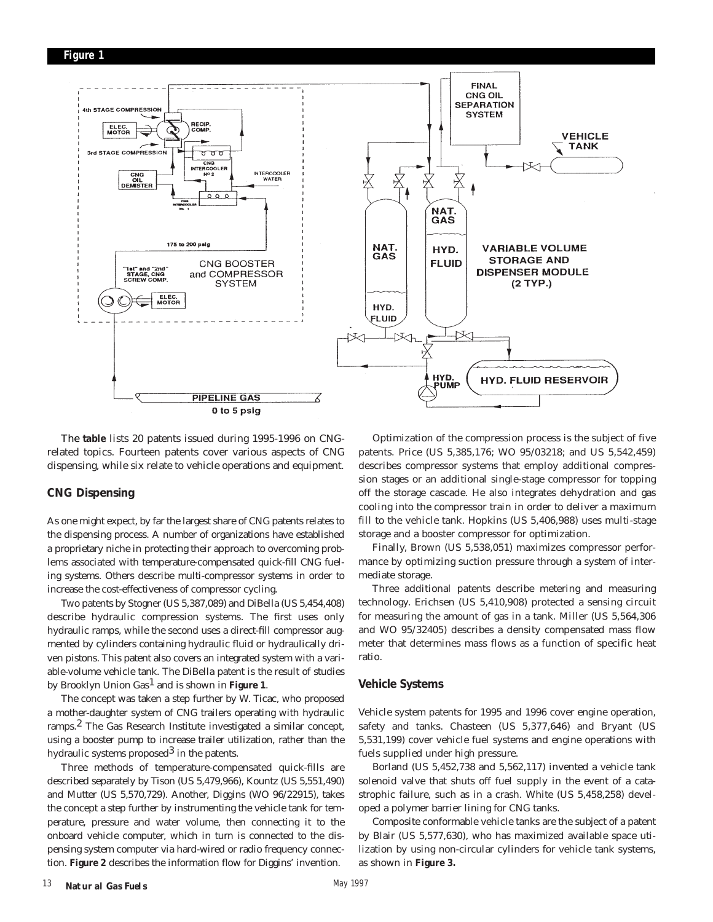

The **table** lists 20 patents issued during 1995-1996 on CNGrelated topics. Fourteen patents cover various aspects of CNG dispensing, while six relate to vehicle operations and equipment.

#### **CNG Dispensing**

As one might expect, by far the largest share of CNG patents relates to the dispensing process. A number of organizations have established a proprietary niche in protecting their approach to overcoming problems associated with temperature-compensated quick-fill CNG fueling systems. Others describe multi-compressor systems in order to increase the cost-effectiveness of compressor cycling.

Two patents by Stogner (US 5,387,089) and DiBella (US 5,454,408) describe hydraulic compression systems. The first uses only hydraulic ramps, while the second uses a direct-fill compressor augmented by cylinders containing hydraulic fluid or hydraulically driven pistons. This patent also covers an integrated system with a variable-volume vehicle tank. The DiBella patent is the result of studies by Brooklyn Union Gas1 and is shown in **Figure 1**.

The concept was taken a step further by W. Ticac, who proposed a mother-daughter system of CNG trailers operating with hydraulic ramps.2 The Gas Research Institute investigated a similar concept, using a booster pump to increase trailer utilization, rather than the hydraulic systems proposed $3$  in the patents.

Three methods of temperature-compensated quick-fills are described separately by Tison (US 5,479,966), Kountz (US 5,551,490) and Mutter (US 5,570,729). Another, Diggins (WO 96/22915), takes the concept a step further by instrumenting the vehicle tank for temperature, pressure and water volume, then connecting it to the onboard vehicle computer, which in turn is connected to the dispensing system computer via hard-wired or radio frequency connection. **Figure 2** describes the information flow for Diggins' invention.

Optimization of the compression process is the subject of five patents. Price (US 5,385,176; WO 95/03218; and US 5,542,459) describes compressor systems that employ additional compression stages or an additional single-stage compressor for topping off the storage cascade. He also integrates dehydration and gas cooling into the compressor train in order to deliver a maximum fill to the vehicle tank. Hopkins (US 5,406,988) uses multi-stage storage and a booster compressor for optimization.

Finally, Brown (US 5,538,051) maximizes compressor performance by optimizing suction pressure through a system of intermediate storage.

Three additional patents describe metering and measuring technology. Erichsen (US 5,410,908) protected a sensing circuit for measuring the amount of gas in a tank. Miller (US 5,564,306 and WO 95/32405) describes a density compensated mass flow meter that determines mass flows as a function of specific heat ratio.

#### **Vehicle Systems**

Vehicle system patents for 1995 and 1996 cover engine operation, safety and tanks. Chasteen (US 5,377,646) and Bryant (US 5,531,199) cover vehicle fuel systems and engine operations with fuels supplied under high pressure.

Borland (US 5,452,738 and 5,562,117) invented a vehicle tank solenoid valve that shuts off fuel supply in the event of a catastrophic failure, such as in a crash. White (US 5,458,258) developed a polymer barrier lining for CNG tanks.

Composite conformable vehicle tanks are the subject of a patent by Blair (US 5,577,630), who has maximized available space utilization by using non-circular cylinders for vehicle tank systems, as shown in **Figure 3.**